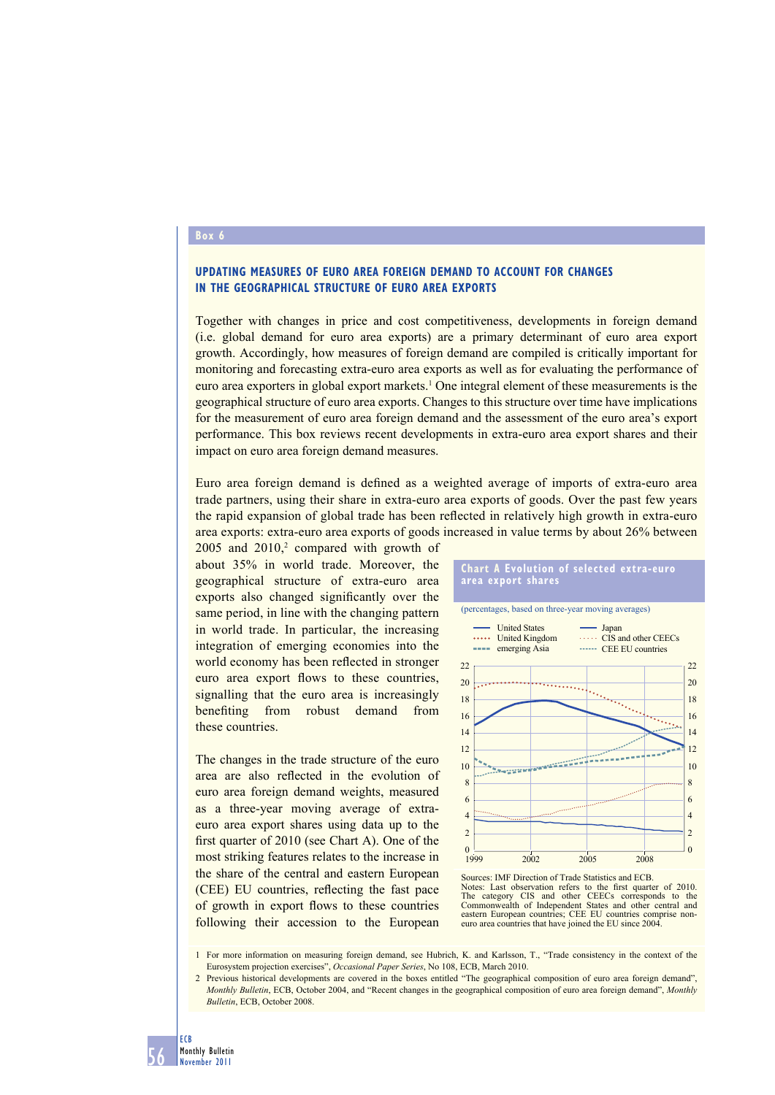## **Box 6**

## **UPDATING MEASURES OF EURO AREA FOREIGN DEMAND TO ACCOUNT FOR CHANGES IN THE GEOGRAPHICAL STRUCTURE OF EURO AREA EXPORTS**

Together with changes in price and cost competitiveness, developments in foreign demand (i.e. global demand for euro area exports) are a primary determinant of euro area export growth. Accordingly, how measures of foreign demand are compiled is critically important for monitoring and forecasting extra-euro area exports as well as for evaluating the performance of euro area exporters in global export markets.<sup>1</sup> One integral element of these measurements is the geographical structure of euro area exports. Changes to this structure over time have implications for the measurement of euro area foreign demand and the assessment of the euro area's export performance. This box reviews recent developments in extra-euro area export shares and their impact on euro area foreign demand measures.

Euro area foreign demand is defined as a weighted average of imports of extra-euro area trade partners, using their share in extra-euro area exports of goods. Over the past few years the rapid expansion of global trade has been reflected in relatively high growth in extra-euro area exports: extra-euro area exports of goods increased in value terms by about 26% between

2005 and 2010,<sup>2</sup> compared with growth of about 35% in world trade. Moreover, the geographical structure of extra-euro area exports also changed significantly over the same period, in line with the changing pattern in world trade. In particular, the increasing integration of emerging economies into the world economy has been reflected in stronger euro area export flows to these countries, signalling that the euro area is increasingly benefiting from robust demand from these countries.

The changes in the trade structure of the euro area are also reflected in the evolution of euro area foreign demand weights, measured as a three-year moving average of extraeuro area export shares using data up to the first quarter of  $2010$  (see Chart A). One of the most striking features relates to the increase in the share of the central and eastern European (CEE) EU countries, reflecting the fast pace of growth in export flows to these countries following their accession to the European

## **Chart A Evolution of selected extra-euro area export shares**



Sources: IMF Direction of Trade Statistics and ECB. Notes: Last observation refers to the first quarter of 2010.<br>The category CIS and other CEECs corresponds to the<br>Commonwealth of Independent States and other central and eastern European countries; CEE EU countries comprise non-euro area countries that have joined the EU since 2004.

1 For more information on measuring foreign demand, see Hubrich, K. and Karlsson, T., "Trade consistency in the context of the Eurosystem projection exercises", *Occasional Paper Series*, No 108, ECB, March 2010.

<sup>2</sup> Previous historical developments are covered in the boxes entitled "The geographical composition of euro area foreign demand", *Monthly Bulletin*, ECB, October 2004, and "Recent changes in the geographical composition of euro area foreign demand", *Monthly Bulletin*, ECB, October 2008.